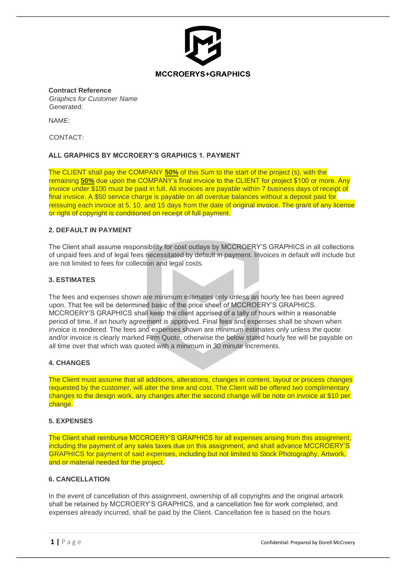

#### **Contract Reference**

*Graphics for Customer Name* Generated:

NAME:

CONTACT:

# **ALL GRAPHICS BY MCCROERY'S GRAPHICS 1. PAYMENT**

The CLIENT shall pay the COMPANY **50%** of this Sum to the start of the project (s), with the remaining **50%** due upon the COMPANY's final invoice to the CLIENT for project \$100 or more. Any invoice under \$100 must be paid in full. All invoices are payable within 7 business days of receipt of final invoice. A \$50 service charge is payable on all overdue balances without a deposit paid for reissuing each invoice at 5, 10, and 15 days from the date of original invoice. The grant of any license or right of copyright is conditioned on receipt of full payment.

### **2. DEFAULT IN PAYMENT**

The Client shall assume responsibility for cost outlays by MCCROERY'S GRAPHICS in all collections of unpaid fees and of legal fees necessitated by default in payment. Invoices in default will include but are not limited to fees for collection and legal costs.

## **3. ESTIMATES**

The fees and expenses shown are minimum estimates only unless an hourly fee has been agreed upon. That fee will be determined basic of the price sheet of MCCROERY'S GRAPHICS. MCCROERY'S GRAPHICS shall keep the client apprised of a tally of hours within a reasonable period of time, if an hourly agreement is approved. Final fees and expenses shall be shown when invoice is rendered. The fees and expenses shown are minimum estimates only unless the quote and/or invoice is clearly marked Firm Quote, otherwise the below stated hourly fee will be payable on all time over that which was quoted with a minimum in 30 minute increments.

## **4. CHANGES**

The Client must assume that all additions, alterations, changes in content, layout or process changes requested by the customer, will alter the time and cost. The Client will be offered two complimentary changes to the design work, any changes after the second change will be note on invoice at \$10 per change.

#### **5. EXPENSES**

The Client shall reimburse MCCROERY'S GRAPHICS for all expenses arising from this assignment, including the payment of any sales taxes due on this assignment, and shall advance MCCROERY'S GRAPHICS for payment of said expenses, including but not limited to Stock Photography, Artwork, and or material needed for the project.

# **6. CANCELLATION**

In the event of cancellation of this assignment, ownership of all copyrights and the original artwork shall be retained by MCCROERY'S GRAPHICS, and a cancellation fee for work completed, and expenses already incurred, shall be paid by the Client. Cancellation fee is based on the hours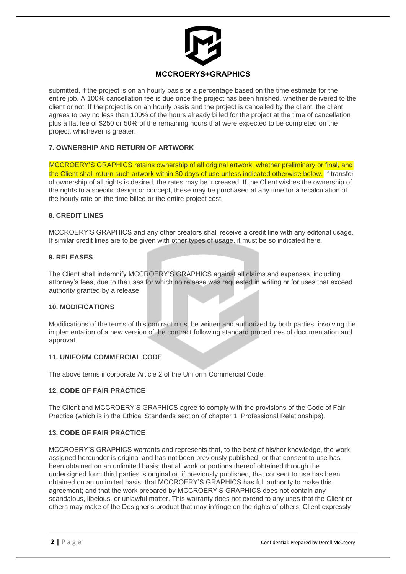

submitted, if the project is on an hourly basis or a percentage based on the time estimate for the entire job. A 100% cancellation fee is due once the project has been finished, whether delivered to the client or not. If the project is on an hourly basis and the project is cancelled by the client, the client agrees to pay no less than 100% of the hours already billed for the project at the time of cancellation plus a flat fee of \$250 or 50% of the remaining hours that were expected to be completed on the project, whichever is greater.

# **7. OWNERSHIP AND RETURN OF ARTWORK**

MCCROERY'S GRAPHICS retains ownership of all original artwork, whether preliminary or final, and the Client shall return such artwork within 30 days of use unless indicated otherwise below. If transfer of ownership of all rights is desired, the rates may be increased. If the Client wishes the ownership of the rights to a specific design or concept, these may be purchased at any time for a recalculation of the hourly rate on the time billed or the entire project cost.

## **8. CREDIT LINES**

MCCROERY'S GRAPHICS and any other creators shall receive a credit line with any editorial usage. If similar credit lines are to be given with other types of usage, it must be so indicated here.

### **9. RELEASES**

The Client shall indemnify MCCROERY'S GRAPHICS against all claims and expenses, including attorney's fees, due to the uses for which no release was requested in writing or for uses that exceed authority granted by a release.

#### **10. MODIFICATIONS**

Modifications of the terms of this contract must be written and authorized by both parties, involving the implementation of a new version of the contract following standard procedures of documentation and approval.

## **11. UNIFORM COMMERCIAL CODE**

The above terms incorporate Article 2 of the Uniform Commercial Code.

## **12. CODE OF FAIR PRACTICE**

The Client and MCCROERY'S GRAPHICS agree to comply with the provisions of the Code of Fair Practice (which is in the Ethical Standards section of chapter 1, Professional Relationships).

## **13. CODE OF FAIR PRACTICE**

MCCROERY'S GRAPHICS warrants and represents that, to the best of his/her knowledge, the work assigned hereunder is original and has not been previously published, or that consent to use has been obtained on an unlimited basis; that all work or portions thereof obtained through the undersigned form third parties is original or, if previously published, that consent to use has been obtained on an unlimited basis; that MCCROERY'S GRAPHICS has full authority to make this agreement; and that the work prepared by MCCROERY'S GRAPHICS does not contain any scandalous, libelous, or unlawful matter. This warranty does not extend to any uses that the Client or others may make of the Designer's product that may infringe on the rights of others. Client expressly